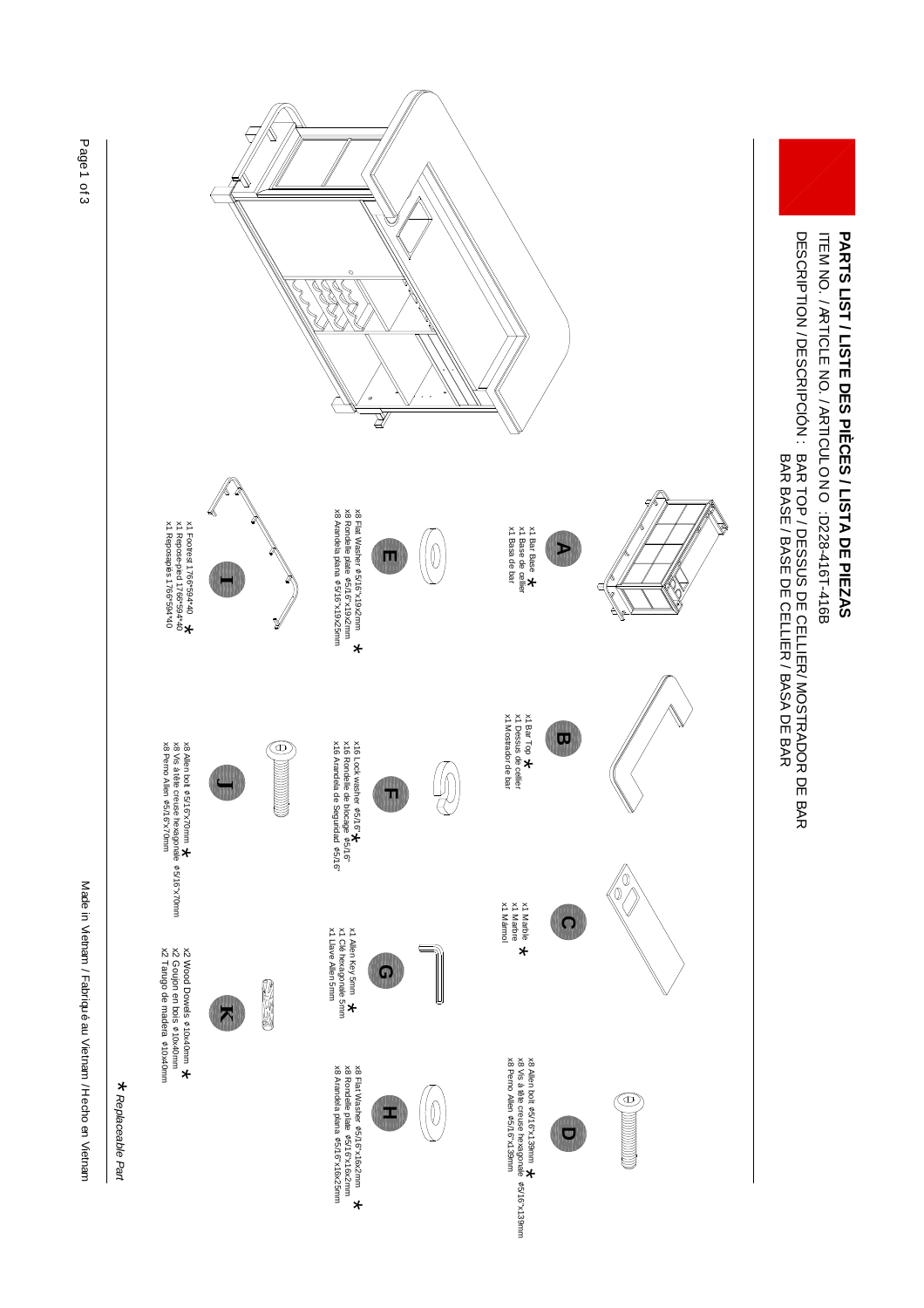Made in Vietnam / Fabriqué au Vietnam / Hecho en Vietnam

\* Replaceable Part

x2 Wood Dowels  $\phi$ 10x40mm  $\star$ <br>x2 Goujon en bois  $\phi$ 10x40mm<br>x2 Tarugo de madera  $\phi$ 10x40mm



**OEEEE** 

x1 Footrest 1766\*594\*40<br>x1 Repose-pied 1766\*594\*40<br>x1 Reposapiés 1766\*594\*40



 $\begin{picture}(20,20) \put(0,0){\line(1,0){100}} \put(15,0){\line(1,0){100}} \put(15,0){\line(1,0){100}} \put(15,0){\line(1,0){100}} \put(15,0){\line(1,0){100}} \put(15,0){\line(1,0){100}} \put(15,0){\line(1,0){100}} \put(15,0){\line(1,0){100}} \put(15,0){\line(1,0){100}} \put(15,0){\line(1,0){100}} \put(15,0){\line(1,0){100}} \$ 



x16 Lock washer ø5/16" <del>X</del><br>x16 Rondelle de blocage *ø5/*16"<br>x16 Arandela de Seguridad *ø5/*16"









x8 Flat Washer ø5/16'x16x2mm<br>x8 Rondelle plate ø5/16'x16x2mm<br>x8 Arandela plana ø5/16'x16x25mm

x1 Allen Key 5mm Y<br>x1 Clé hexagonale 5mm<br>x1 Llave Allen 5mm



E









 $\bigcirc$ 















 $(\Bigl( \begin{matrix} 0 \\ 0 \end{matrix} \Bigr)$ 









indra Kalendary<br>Kabupatèn













x1 BarTop ★<br>x1 Dessus de cellier<br>x1 Mostrador de bar

x1 Marble ★<br>x1 Marbre<br>x1 Mármol

x8 Allen bolt ø5/16"x139mm <del>X</del><br>x8 Vis å tête creuse hexagonale ø5/16"x139mm<br>x8 Perno Allen ø5/16"x139mm

 $\mathbf{u}$ 

 $\Omega$ 

 $\overline{\phantom{0}}$ 

/0<br>X

 $^{\circledR}$ 





Page 1 of 3



PARTS LIST / LISTE DES PIÈCES / LISTA DE PIEZAS ITEM NO. / ARTICLE NO. / ARTICULO NO : D228-416T-416B

DESCRIPTION / DESCRIPCIÓN : BASE / DESSE DE CELLIER/ DAR DE BAR<br>DESCRIPTION / DESCRIPCIÓN : BASE / BASE / BASE / BASA DE BAR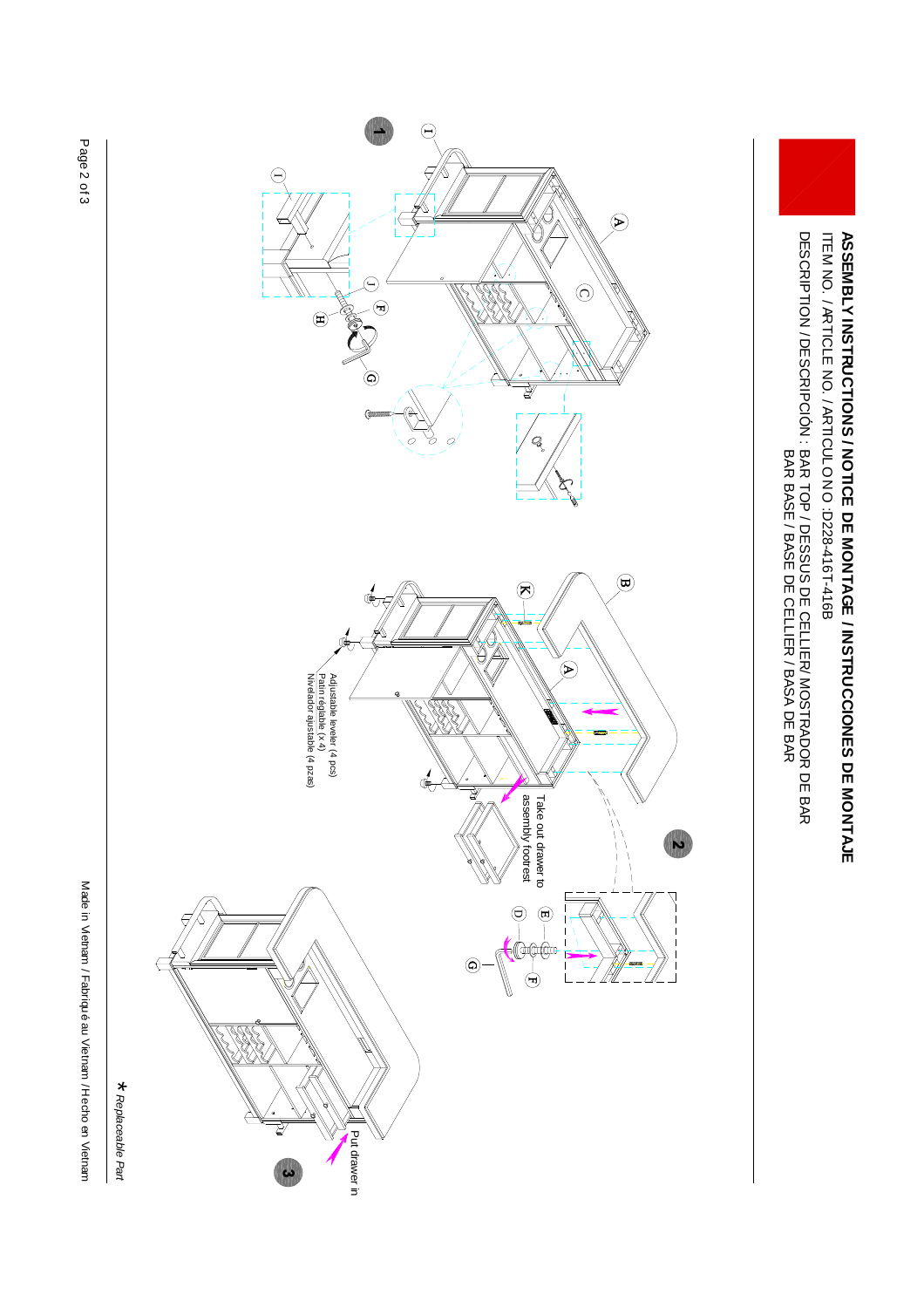

\* Replaceable Part



DESCRIPTION / DESCRIPCIÓN: BARE DE CELLIER / BARSE DE CARDORA DE BAR<br>DESCRIPTION / DESCRIPCIÓN: BARSE / BASE DE CELLIER / BAR

**ASSEMBLY INSTRUCTIONS / NOTICE DE MONTAGE / INSTRUCCIONES DE MONTAJE** 

ITEM NO. / ARTICLE NO. / ARTICULO NO :D228-416T-416B